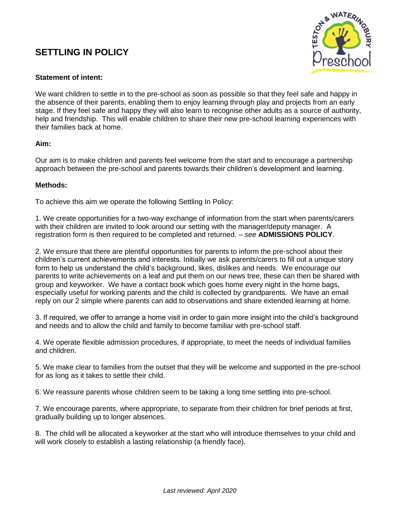## **SETTLING IN POLICY**



## **Statement of intent:**

We want children to settle in to the pre-school as soon as possible so that they feel safe and happy in the absence of their parents, enabling them to enjoy learning through play and projects from an early stage. If they feel safe and happy they will also learn to recognise other adults as a source of authority, help and friendship. This will enable children to share their new pre-school learning experiences with their families back at home.

## **Aim:**

Our aim is to make children and parents feel welcome from the start and to encourage a partnership approach between the pre-school and parents towards their children's development and learning.

## **Methods:**

To achieve this aim we operate the following Settling In Policy:

1. We create opportunities for a two-way exchange of information from the start when parents/carers with their children are invited to look around our setting with the manager/deputy manager. A registration form is then required to be completed and returned. – *see* **ADMISSIONS POLICY**.

2. We ensure that there are plentiful opportunities for parents to inform the pre-school about their children's current achievements and interests. Initially we ask parents/carers to fill out a unique story form to help us understand the child's background, likes, dislikes and needs. We encourage our parents to write achievements on a leaf and put them on our news tree, these can then be shared with group and keyworker. We have a contact book which goes home every night in the home bags, especially useful for working parents and the child is collected by grandparents. We have an email reply on our 2 simple where parents can add to observations and share extended learning at home.

3. If required, we offer to arrange a home visit in order to gain more insight into the child's background and needs and to allow the child and family to become familiar with pre-school staff.

4. We operate flexible admission procedures, if appropriate, to meet the needs of individual families and children.

5. We make clear to families from the outset that they will be welcome and supported in the pre-school for as long as it takes to settle their child.

6. We reassure parents whose children seem to be taking a long time settling into pre-school.

7. We encourage parents, where appropriate, to separate from their children for brief periods at first, gradually building up to longer absences.

8. The child will be allocated a keyworker at the start who will introduce themselves to your child and will work closely to establish a lasting relationship (a friendly face).